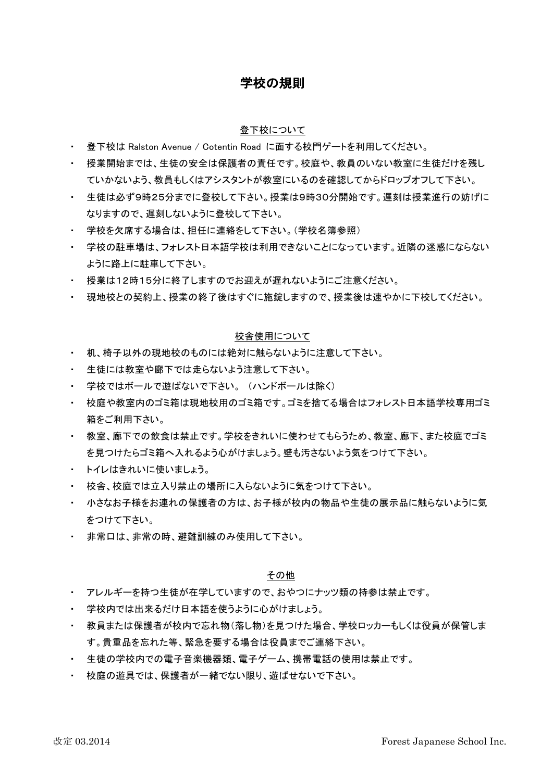# 学校の規則

### 登下校について

- 登下校は Ralston Avenue / Cotentin Road に面する校門ゲートを利用してください。
- ・ 授業開始までは、生徒の安全は保護者の責任です。校庭や、教員のいない教室に生徒だけを残し ていかないよう、教員もしくはアシスタントが教室にいるのを確認してからドロップオフして下さい。
- ・ 生徒は必ず9時25分までに登校して下さい。授業は9時30分開始です。遅刻は授業進行の妨げに なりますので、遅刻しないように登校して下さい。
- 学校を欠席する場合は、担任に連絡をして下さい。(学校名簿参照)
- ・ 学校の駐車場は、フォレスト日本語学校は利用できないことになっています。近隣の迷惑にならない ように路上に駐車して下さい。
- ・ 授業は12時15分に終了しますのでお迎えが遅れないようにご注意ください。
- 現地校との契約上、授業の終了後はすぐに施錠しますので、授業後は速やかに下校してください。

### 校舎使用について

- 机、椅子以外の現地校のものには絶対に触らないように注意して下さい。
- 生徒には教室や廊下では走らないよう注意して下さい。
- 学校ではボールで遊ばないで下さい。 (ハンドボールは除く)
- ・ 校庭や教室内のゴミ箱は現地校用のゴミ箱です。ゴミを捨てる場合はフォレスト日本語学校専用ゴミ 箱をご利用下さい。
- ・ 教室、廊下での飲食は禁止です。学校をきれいに使わせてもらうため、教室、廊下、また校庭でゴミ を見つけたらゴミ箱へ入れるよう心がけましょう。壁も汚さないよう気をつけて下さい。
- トイレはきれいに使いましょう。
- 校舎、校庭では立入り禁止の場所に入らないように気をつけて下さい。
- ・ 小さなお子様をお連れの保護者の方は、お子様が校内の物品や生徒の展示品に触らないように気 をつけて下さい。
- 非常口は、非常の時、避難訓練のみ使用して下さい。

# その他

- アレルギーを持つ生徒が在学していますので、おやつにナッツ類の持参は禁止です。
- 学校内では出来るだけ日本語を使うように心がけましょう。
- ・ 教員または保護者が校内で忘れ物(落し物)を見つけた場合、学校ロッカーもしくは役員が保管しま す。貴重品を忘れた等、緊急を要する場合は役員までご連絡下さい。
- 生徒の学校内での電子音楽機器類、電子ゲーム、携帯電話の使用は禁止です。
- 校庭の遊具では、保護者が一緒でない限り、遊ばせないで下さい。